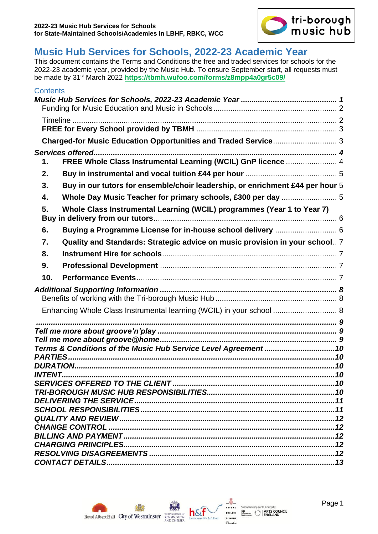

# <span id="page-0-0"></span>**Music Hub Services for Schools, 2022-23 Academic Year**

This document contains the Terms and Conditions the free and traded services for schools for the 2022-23 academic year, provided by the Music Hub. To ensure September start, all requests must be made by 31st March 2022 **<https://tbmh.wufoo.com/forms/z8mpp4a0gr5c09/>**

| <b>Contents</b> |                                                                               |  |  |  |
|-----------------|-------------------------------------------------------------------------------|--|--|--|
|                 |                                                                               |  |  |  |
|                 |                                                                               |  |  |  |
|                 |                                                                               |  |  |  |
|                 |                                                                               |  |  |  |
|                 | Charged-for Music Education Opportunities and Traded Service 3                |  |  |  |
|                 |                                                                               |  |  |  |
| 1.              | FREE Whole Class Instrumental Learning (WCIL) GnP licence  4                  |  |  |  |
| 2.              |                                                                               |  |  |  |
| 3.              | Buy in our tutors for ensemble/choir leadership, or enrichment £44 per hour 5 |  |  |  |
| 4.              |                                                                               |  |  |  |
| 5.              | Whole Class Instrumental Learning (WCIL) programmes (Year 1 to Year 7)        |  |  |  |
| 6.              |                                                                               |  |  |  |
| 7.              | Quality and Standards: Strategic advice on music provision in your school 7   |  |  |  |
| 8.              |                                                                               |  |  |  |
| 9.              |                                                                               |  |  |  |
| 10.             |                                                                               |  |  |  |
|                 |                                                                               |  |  |  |
|                 |                                                                               |  |  |  |
|                 | Enhancing Whole Class Instrumental learning (WCIL) in your school  8          |  |  |  |
|                 |                                                                               |  |  |  |
|                 |                                                                               |  |  |  |
|                 |                                                                               |  |  |  |
|                 | Terms & Conditions of the Music Hub Service Level Agreement 10                |  |  |  |
| <b>PARTIES</b>  |                                                                               |  |  |  |
|                 |                                                                               |  |  |  |
|                 |                                                                               |  |  |  |
|                 |                                                                               |  |  |  |
|                 |                                                                               |  |  |  |
|                 |                                                                               |  |  |  |
|                 |                                                                               |  |  |  |
|                 |                                                                               |  |  |  |
|                 |                                                                               |  |  |  |
|                 |                                                                               |  |  |  |
|                 |                                                                               |  |  |  |



ported using public tunding by<br>surface:  $\left| \begin{array}{l} \boldsymbol{s}^{s \text{ (} \text{ (0)} } \\ \boldsymbol{s}^{s} \\ \text{ for each } \end{array} \right|$  **ARTS COUNCIL**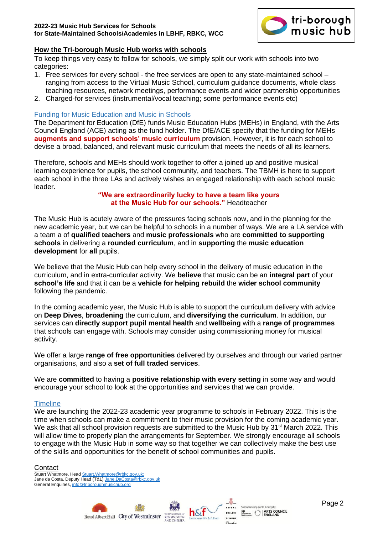

#### **How the Tri-borough Music Hub works with schools**

To keep things very easy to follow for schools, we simply split our work with schools into two categories:

- 1. Free services for every school the free services are open to any state-maintained school ranging from access to the Virtual Music School, curriculum guidance documents, whole class teaching resources, network meetings, performance events and wider partnership opportunities
- 2. Charged-for services (instrumental/vocal teaching; some performance events etc)

#### <span id="page-1-0"></span>Funding for Music Education and Music in Schools

The Department for Education (DfE) funds Music Education Hubs (MEHs) in England, with the Arts Council England (ACE) acting as the fund holder. The DfE/ACE specify that the funding for MEHs **augments and support schools' music curriculum** provision. However, it is for each school to devise a broad, balanced, and relevant music curriculum that meets the needs of all its learners.

Therefore, schools and MEHs should work together to offer a joined up and positive musical learning experience for pupils, the school community, and teachers. The TBMH is here to support each school in the three LAs and actively wishes an engaged relationship with each school music leader.

#### **"We are extraordinarily lucky to have a team like yours at the Music Hub for our schools."** Headteacher

The Music Hub is acutely aware of the pressures facing schools now, and in the planning for the new academic year, but we can be helpful to schools in a number of ways. We are a LA service with a team a of **qualified teachers** and **music professionals** who are **committed to supporting schools** in delivering a **rounded curriculum**, and in **supporting** the **music education development** for **all** pupils.

We believe that the Music Hub can help every school in the delivery of music education in the curriculum, and in extra-curricular activity. We **believe** that music can be an **integral part** of your **school's life** and that it can be a **vehicle for helping rebuild** the **wider school community** following the pandemic.

In the coming academic year, the Music Hub is able to support the curriculum delivery with advice on **Deep Dives**, **broadening** the curriculum, and **diversifying the curriculum**. In addition, our services can **directly support pupil mental health** and **wellbeing** with a **range of programmes** that schools can engage with. Schools may consider using commissioning money for musical activity.

We offer a large **range of free opportunities** delivered by ourselves and through our varied partner organisations, and also a **set of full traded services**.

We are **committed** to having a **positive relationship with every setting** in some way and would encourage your school to look at the opportunities and services that we can provide.

#### <span id="page-1-1"></span>**Timeline**

We are launching the 2022-23 academic year programme to schools in February 2022. This is the time when schools can make a commitment to their music provision for the coming academic year. We ask that all school provision requests are submitted to the Music Hub by 31<sup>st</sup> March 2022. This will allow time to properly plan the arrangements for September. We strongly encourage all schools to engage with the Music Hub in some way so that together we can collectively make the best use of the skills and opportunities for the benefit of school communities and pupils.

#### **Contact**

Stuart Whatmore, Hea[d Stuart.Whatmore@rbkc.gov.uk;](mailto:Stuart.Whatmore@rbkc.gov.uk)  Jane da Costa, Deputy Head (T&L[\) Jane.DaCosta@rbkc.gov.uk](mailto:Jane.DaCosta@rbkc.gov.uk) General Enquiries, [info@triboroughmusichub.org](mailto:info@triboroughmusichub.org)





 $-$ 

COLLEGE

OF MUSIC

 $P_{audax}$ 

ing public funding **k**  $\begin{array}{|l|l|l|l|l|} \hline \mbox{\textbf{M8}} & \mbox{\textbf{R8}} & \mbox{\textbf{R8}} & \mbox{\textbf{R8}} & \mbox{\textbf{R8}} & \mbox{\textbf{R8}} & \mbox{\textbf{L8}} \\ \hline \mbox{\textbf{M8}} & \mbox{\textbf{M8}} & \mbox{\textbf{M8}} & \mbox{\textbf{M8}} & \mbox{\textbf{M8}} & \mbox{\textbf{M8}} & \mbox{\textbf{M8}} & \mbox{\textbf{M8}} \\ \hline \mbox{\textbf{M8}} & \mbox{\textbf{M8}} & \mbox{\textbf{$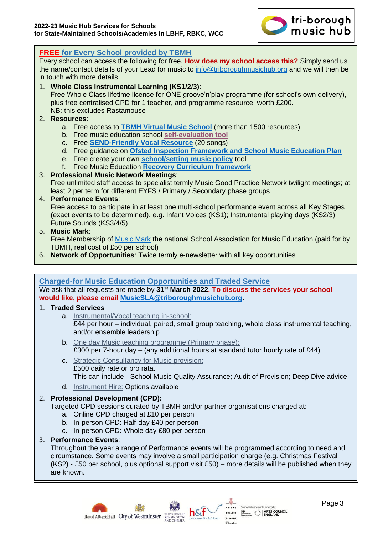

| <b>FREE for Every School provided by TBMH</b>                                                                                                                                |  |  |  |  |  |
|------------------------------------------------------------------------------------------------------------------------------------------------------------------------------|--|--|--|--|--|
| Every school can access the following for free. How does my school access this? Simply send us                                                                               |  |  |  |  |  |
| the name/contact details of your Lead for music to info@triboroughmusichub.org and we will then be<br>in touch with more details                                             |  |  |  |  |  |
| 1. Whole Class Instrumental Learning (KS1/2/3):                                                                                                                              |  |  |  |  |  |
| Free Whole Class lifetime licence for ONE groove'n'play programme (for school's own delivery),                                                                               |  |  |  |  |  |
| plus free centralised CPD for 1 teacher, and programme resource, worth £200.<br>NB: this excludes Rastamouse                                                                 |  |  |  |  |  |
| 2. Resources:                                                                                                                                                                |  |  |  |  |  |
| a. Free access to <b>TBMH Virtual Music School</b> (more than 1500 resources)                                                                                                |  |  |  |  |  |
| b. Free music education school self-evaluation tool                                                                                                                          |  |  |  |  |  |
| c. Free <b>SEND-Friendly Vocal Resource</b> (20 songs)<br>d. Free guidance on Ofsted Inspection Framework and School Music Education Plan                                    |  |  |  |  |  |
| e. Free create your own <b>school/setting music policy</b> tool                                                                                                              |  |  |  |  |  |
| f. Free Music Education Recovery Curriculum framework                                                                                                                        |  |  |  |  |  |
| 3. Professional Music Network Meetings:                                                                                                                                      |  |  |  |  |  |
| Free unlimited staff access to specialist termly Music Good Practice Network twilight meetings; at<br>least 2 per term for different EYFS / Primary / Secondary phase groups |  |  |  |  |  |
| 4. Performance Events:                                                                                                                                                       |  |  |  |  |  |
| Free access to participate in at least one multi-school performance event across all Key Stages                                                                              |  |  |  |  |  |
| (exact events to be determined), e.g. Infant Voices (KS1); Instrumental playing days (KS2/3);                                                                                |  |  |  |  |  |
| Future Sounds (KS3/4/5)<br>5. Music Mark:                                                                                                                                    |  |  |  |  |  |
| Free Membership of Music Mark the national School Association for Music Education (paid for by                                                                               |  |  |  |  |  |
| TBMH, real cost of £50 per school)                                                                                                                                           |  |  |  |  |  |
| 6. Network of Opportunities: Twice termly e-newsletter with all key opportunities                                                                                            |  |  |  |  |  |
|                                                                                                                                                                              |  |  |  |  |  |
| <b>Charged-for Music Education Opportunities and Traded Service</b>                                                                                                          |  |  |  |  |  |
| We ask that all requests are made by 31 <sup>st</sup> March 2022. To discuss the services your school                                                                        |  |  |  |  |  |
| would like, please email MusicSLA@triboroughmusichub.org.                                                                                                                    |  |  |  |  |  |
| 1. Traded Services                                                                                                                                                           |  |  |  |  |  |
| a. Instrumental/Vocal teaching in-school:<br>£44 per hour – individual, paired, small group teaching, whole class instrumental teaching,                                     |  |  |  |  |  |
| and/or ensemble leadership                                                                                                                                                   |  |  |  |  |  |
| b. One day Music teaching programme (Primary phase):                                                                                                                         |  |  |  |  |  |
| £300 per 7-hour day $-$ (any additional hours at standard tutor hourly rate of £44)                                                                                          |  |  |  |  |  |
| c. Strategic Consultancy for Music provision:                                                                                                                                |  |  |  |  |  |
| £500 daily rate or pro rata.                                                                                                                                                 |  |  |  |  |  |
| This can include - School Music Quality Assurance; Audit of Provision; Deep Dive advice                                                                                      |  |  |  |  |  |
| d. Instrument Hire: Options available                                                                                                                                        |  |  |  |  |  |
| 2. Professional Development (CPD):<br>Targeted CPD sessions curated by TBMH and/or partner organisations charged at:                                                         |  |  |  |  |  |
|                                                                                                                                                                              |  |  |  |  |  |

- a. Online CPD charged at £10 per person
- b. In-person CPD: Half-day £40 per person
- c. In-person CPD: Whole day £80 per person
- 3. **Performance Events**:

Throughout the year a range of Performance events will be programmed according to need and circumstance. Some events may involve a small participation charge (e.g. Christmas Festival  $(KS2)$  - £50 per school, plus optional support visit £50) – more details will be published when they are known.



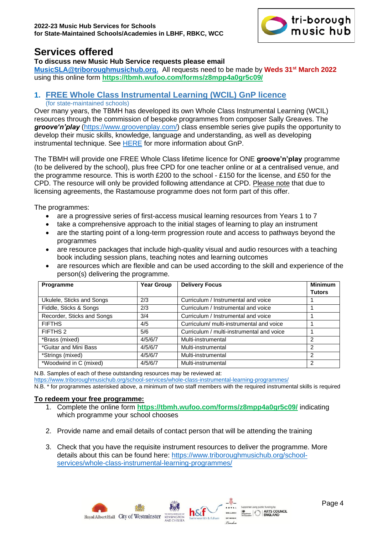

# <span id="page-3-0"></span>**Services offered**

#### **To discuss new Music Hub Service requests please email**

**[MusicSLA@triboroughmusichub.org.](mailto:musicsla@triboroughmusichub.org)** All requests need to be made by **Weds 31st March 2022** using this online form **<https://tbmh.wufoo.com/forms/z8mpp4a0gr5c09/>**

# <span id="page-3-1"></span>**1. FREE Whole Class Instrumental Learning (WCIL) GnP licence**

(for state-maintained schools)

Over many years, the TBMH has developed its own Whole Class Instrumental Learning (WCIL) resources through the commission of bespoke programmes from composer Sally Greaves. The *groove'n'play* [\(https://www.groovenplay.com/\)](https://www.groovenplay.com/) class ensemble series give pupils the opportunity to develop their music skills, knowledge, language and understanding, as well as developing instrumental technique. See [HERE](#page-8-0) for more information about GnP.

The TBMH will provide one FREE Whole Class lifetime licence for ONE **groove'n'play** programme (to be delivered by the school), plus free CPD for one teacher online or at a centralised venue, and the programme resource. This is worth £200 to the school - £150 for the license, and £50 for the CPD. The resource will only be provided following attendance at CPD. Please note that due to licensing agreements, the Rastamouse programme does not form part of this offer.

The programmes:

- are a progressive series of first-access musical learning resources from Years 1 to 7
- take a comprehensive approach to the initial stages of learning to play an instrument
- are the starting point of a long-term progression route and access to pathways beyond the programmes
- are resource packages that include high-quality visual and audio resources with a teaching book including session plans, teaching notes and learning outcomes
- are resources which are flexible and can be used according to the skill and experience of the person(s) delivering the programme.

| Programme                  | <b>Year Group</b> | <b>Delivery Focus</b>                     | <b>Minimum</b> |
|----------------------------|-------------------|-------------------------------------------|----------------|
|                            |                   |                                           | <b>Tutors</b>  |
| Ukulele, Sticks and Songs  | 2/3               | Curriculum / Instrumental and voice       |                |
| Fiddle, Sticks & Songs     | 2/3               | Curriculum / Instrumental and voice       |                |
| Recorder, Sticks and Songs | 3/4               | Curriculum / Instrumental and voice       |                |
| <b>FIFTHS</b>              | 4/5               | Curriculum/ multi-instrumental and voice  |                |
| FIFTHS 2                   | 5/6               | Curriculum / multi-instrumental and voice |                |
| *Brass (mixed)             | 4/5/6/7           | Multi-instrumental                        | 2              |
| *Guitar and Mini Bass      | 4/5/6/7           | Multi-instrumental                        | 2              |
| *Strings (mixed)           | 4/5/6/7           | Multi-instrumental                        | 2              |
| *Woodwind in C (mixed)     | 4/5/6/7           | Multi-instrumental                        | 2              |

N.B. Samples of each of these outstanding resources may be reviewed at:

<https://www.triboroughmusichub.org/school-services/whole-class-instrumental-learning-programmes/>

N.B. \* for programmes asterisked above, a minimum of two staff members with the required instrumental skills is required

#### **To redeem your free programme:**

- 1. Complete the online form **<https://tbmh.wufoo.com/forms/z8mpp4a0gr5c09/>** indicating which programme your school chooses
- 2. Provide name and email details of contact person that will be attending the training
- 3. Check that you have the requisite instrument resources to deliver the programme. More details about this can be found here: [https://www.triboroughmusichub.org/school](https://www.triboroughmusichub.org/school-services/whole-class-instrumental-learning-programmes/)[services/whole-class-instrumental-learning-programmes/](https://www.triboroughmusichub.org/school-services/whole-class-instrumental-learning-programmes/)

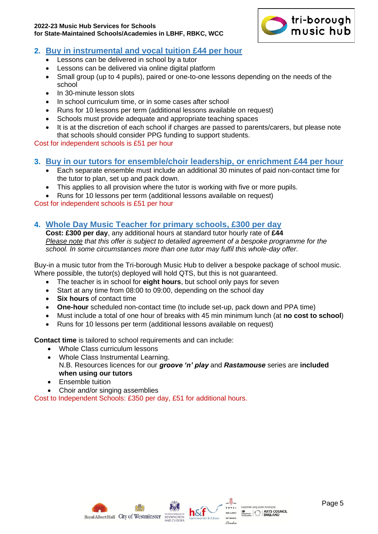#### **2022-23 Music Hub Services for Schools for State-Maintained Schools/Academies in LBHF, RBKC, WCC**



# <span id="page-4-0"></span>**2. Buy in instrumental and vocal tuition £44 per hour**

- Lessons can be delivered in school by a tutor
- Lessons can be delivered via online digital platform
- Small group (up to 4 pupils), paired or one-to-one lessons depending on the needs of the school
- In 30-minute lesson slots
- In school curriculum time, or in some cases after school
- Runs for 10 lessons per term (additional lessons available on request)
- Schools must provide adequate and appropriate teaching spaces
- It is at the discretion of each school if charges are passed to parents/carers, but please note that schools should consider PPG funding to support students.

Cost for independent schools is £51 per hour

# <span id="page-4-1"></span>**3. Buy in our tutors for ensemble/choir leadership, or enrichment £44 per hour**

- Each separate ensemble must include an additional 30 minutes of paid non-contact time for the tutor to plan, set up and pack down.
- This applies to all provision where the tutor is working with five or more pupils.
- Runs for 10 lessons per term (additional lessons available on request)

Cost for independent schools is £51 per hour

# <span id="page-4-2"></span>**4. Whole Day Music Teacher for primary schools, £300 per day**

**Cost: £300 per day**, any additional hours at standard tutor hourly rate of **£44** *Please note that this offer is subject to detailed agreement of a bespoke programme for the school. In some circumstances more than one tutor may fulfil this whole-day offer*.

Buy-in a music tutor from the Tri-borough Music Hub to deliver a bespoke package of school music. Where possible, the tutor(s) deployed will hold QTS, but this is not guaranteed.

- The teacher is in school for **eight hours**, but school only pays for seven
- Start at any time from 08:00 to 09:00, depending on the school day
- **Six hours** of contact time
- **One-hour** scheduled non-contact time (to include set-up, pack down and PPA time)
- Must include a total of one hour of breaks with 45 min minimum lunch (at **no cost to school**)
- Runs for 10 lessons per term (additional lessons available on request)

**Contact time** is tailored to school requirements and can include:

- Whole Class curriculum lessons
- Whole Class Instrumental Learning. N.B. Resources licences for our *groove 'n' play* and *Rastamouse* series are **included when using our tutors**
- Ensemble tuition
- Choir and/or singing assemblies

Cost to Independent Schools: £350 per day, £51 for additional hours.





ported using public tunding by<br>surface:  $\left| \begin{array}{l} \boldsymbol{s}^{s \text{ (} \text{ (0)} } \\ \boldsymbol{s}^{s} \\ \text{ for each } \end{array} \right|$  **ARTS COUNCIL**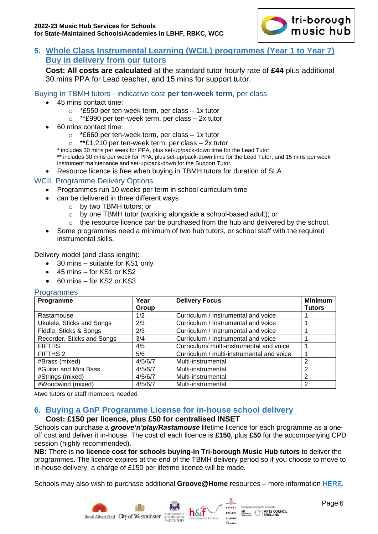

# <span id="page-5-0"></span>**5. Whole Class Instrumental Learning (WCIL) programmes (Year 1 to Year 7) Buy in delivery from our tutors**

**Cost: All costs are calculated** at the standard tutor hourly rate of **£44** plus additional 30 mins PPA for Lead teacher, and 15 mins for support tutor.

#### Buying in TBMH tutors - indicative cost **per ten-week term**, per class

- 45 mins contact time:
	- $\circ$  \*£550 per ten-week term, per class  $-1x$  tutor
	- $\circ$  \*\*£990 per ten-week term, per class 2x tutor
- 60 mins contact time:
	- o \*£660 per ten-week term, per class 1x tutor
	- $\circ$  \*\*£1,210 per ten-week term, per class 2x tutor

**\*** includes 30 mins per week for PPA, plus set-up/pack-down time for the Lead Tutor

**\*\*** includes 30 mins per week for PPA, plus set-up/pack-down time for the Lead Tutor; and 15 mins per week instrument maintenance and set-up/pack-down for the Support Tutor.

• Resource licence is free when buying in TBMH tutors for duration of SLA

## WCIL Programme Delivery Options

- Programmes run 10 weeks per term in school curriculum time
- can be delivered in three different ways
	- o by two TBMH tutors; or
		- o by one TBMH tutor (working alongside a school-based adult); or
		- $\circ$  the resource licence can be purchased from the hub and delivered by the school.
- Some programmes need a minimum of two hub tutors, or school staff with the required instrumental skills.

Delivery model (and class length):

- 30 mins suitable for KS1 only
- 45 mins for KS1 or KS2
- 60 mins for KS2 or KS3

**Programmes** 

| Programme                  | Year    | <b>Delivery Focus</b>                     | <b>Minimum</b> |
|----------------------------|---------|-------------------------------------------|----------------|
|                            | Group   |                                           | <b>Tutors</b>  |
| Rastamouse                 | 1/2     | Curriculum / Instrumental and voice       |                |
| Ukulele, Sticks and Songs  | 2/3     | Curriculum / Instrumental and voice       |                |
| Fiddle, Sticks & Songs     | 2/3     | Curriculum / Instrumental and voice       |                |
| Recorder, Sticks and Songs | 3/4     | Curriculum / Instrumental and voice       |                |
| <b>FIFTHS</b>              | 4/5     | Curriculum/ multi-instrumental and voice  |                |
| FIFTHS 2                   | 5/6     | Curriculum / multi-instrumental and voice |                |
| #Brass (mixed)             | 4/5/6/7 | Multi-instrumental                        | າ              |
| #Guitar and Mini Bass      | 4/5/6/7 | Multi-instrumental                        | າ              |
| #Strings (mixed)           | 4/5/6/7 | Multi-instrumental                        | 2              |
| #Woodwind (mixed)          | 4/5/6/7 | Multi-instrumental                        | 2              |

#two tutors or staff members needed

# <span id="page-5-1"></span>**6. Buying a GnP Programme License for in-house school delivery**

#### **Cost: £150 per licence, plus £50 for centralised INSET**

Schools can purchase a *groove'n'play/Rastamouse* lifetime licence for each programme as a oneoff cost and deliver it in-house. The cost of each licence is **£150**, plus **£50** for the accompanying CPD session (highly recommended).

**NB:** There is **no licence cost for schools buying-in Tri-borough Music Hub tutors** to deliver the programmes. The licence expires at the end of the TBMH delivery period so if you choose to move to in-house delivery, a charge of £150 per lifetime licence will be made.

Schools may also wish to purchase additional **Groove@Home** resources – more information [HERE.](#page-8-1)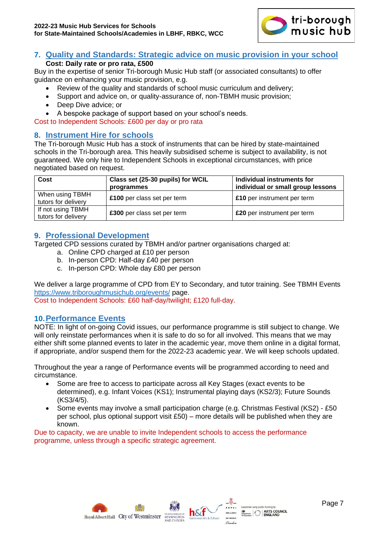

#### <span id="page-6-0"></span>**7. Quality and Standards: Strategic advice on music provision in your school Cost: Daily rate or pro rata, £500**

Buy in the expertise of senior Tri-borough Music Hub staff (or associated consultants) to offer guidance on enhancing your music provision, e.g.

- Review of the quality and standards of school music curriculum and delivery;
- Support and advice on, or quality-assurance of, non-TBMH music provision;
- Deep Dive advice; or
- A bespoke package of support based on your school's needs.

Cost to Independent Schools: £600 per day or pro rata

# <span id="page-6-1"></span>**8. Instrument Hire for schools**

The Tri-borough Music Hub has a stock of instruments that can be hired by state-maintained schools in the Tri-borough area. This heavily subsidised scheme is subject to availability, is not guaranteed. We only hire to Independent Schools in exceptional circumstances, with price negotiated based on request.

| Cost                                     | Class set (25-30 pupils) for WCIL<br>programmes | Individual instruments for<br>individual or small group lessons |
|------------------------------------------|-------------------------------------------------|-----------------------------------------------------------------|
| When using TBMH<br>tutors for delivery   | £100 per class set per term                     | £10 per instrument per term                                     |
| If not using TBMH<br>tutors for delivery | £300 per class set per term                     | £20 per instrument per term                                     |

## <span id="page-6-2"></span>**9. Professional Development**

Targeted CPD sessions curated by TBMH and/or partner organisations charged at:

- a. Online CPD charged at £10 per person
- b. In-person CPD: Half-day £40 per person
- c. In-person CPD: Whole day £80 per person

We deliver a large programme of CPD from EY to Secondary, and tutor training. See TBMH Events <https://www.triboroughmusichub.org/events/> page.

Cost to Independent Schools: £60 half-day/twilight; £120 full-day.

#### <span id="page-6-3"></span>**10.Performance Events**

NOTE: In light of on-going Covid issues, our performance programme is still subject to change. We will only reinstate performances when it is safe to do so for all involved. This means that we may either shift some planned events to later in the academic year, move them online in a digital format, if appropriate, and/or suspend them for the 2022-23 academic year. We will keep schools updated.

Throughout the year a range of Performance events will be programmed according to need and circumstance.

- Some are free to access to participate across all Key Stages (exact events to be determined), e.g. Infant Voices (KS1); Instrumental playing days (KS2/3); Future Sounds (KS3/4/5).
- Some events may involve a small participation charge (e.g. Christmas Festival (KS2) £50 per school, plus optional support visit £50) – more details will be published when they are known.

Due to capacity, we are unable to invite Independent schools to access the performance programme, unless through a specific strategic agreement.





Supported using public funding by<br>  $\begin{array}{c|c|c|c} \hline \textbf{M} & \textbf{M} & \textbf{M} & \textbf{M} \\ \hline \textbf{M} & \textbf{M} & \textbf{M} & \textbf{M} \\ \hline \textbf{M} & \textbf{M} & \textbf{M} & \textbf{M} \\ \hline \textbf{M} & \textbf{M} & \textbf{M} & \textbf{M} \\ \hline \textbf{M} & \textbf{M} & \textbf{M} & \textbf{M} \\ \hline \textbf{M} & \textbf{M} & \$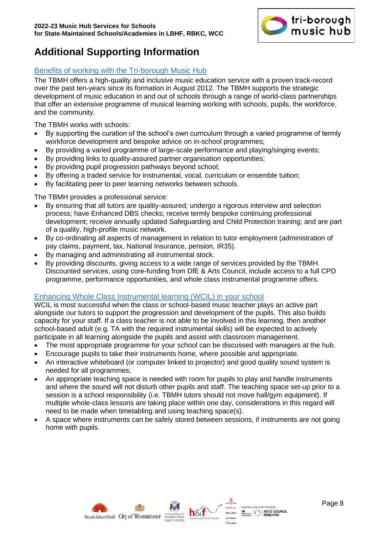

# <span id="page-7-0"></span>**Additional Supporting Information**

## <span id="page-7-1"></span>Benefits of working with the Tri-borough Music Hub

The TBMH offers a high-quality and inclusive music education service with a proven track-record over the past ten-years since its formation in August 2012. The TBMH supports the strategic development of music education in and out of schools through a range of world-class partnerships that offer an extensive programme of musical learning working with schools, pupils, the workforce, and the community.

The TBMH works with schools:

- By supporting the curation of the school's own curriculum through a varied programme of termly workforce development and bespoke advice on in-school programmes;
- By providing a varied programme of large-scale performance and playing/singing events;
- By providing links to quality-assured partner organisation opportunities;
- By providing pupil progression pathways beyond school:
- By offering a traded service for instrumental, vocal, curriculum or ensemble tuition;
- By facilitating peer to peer learning networks between schools.

The TBMH provides a professional service:

- By ensuring that all tutors are quality-assured; undergo a rigorous interview and selection process; have Enhanced DBS checks; receive termly bespoke continuing professional development; receive annually updated Safeguarding and Child Protection training; and are part of a quality, high-profile music network.
- By co-ordinating all aspects of management in relation to tutor employment (administration of pay claims, payment, tax, National Insurance, pension, IR35).
- By managing and administrating all instrumental stock.
- By providing discounts, giving access to a wide range of services provided by the TBMH. Discounted services, using core-funding from DfE & Arts Council, include access to a full CPD programme, performance opportunities, and whole class instrumental programme offers.

#### <span id="page-7-2"></span>Enhancing Whole Class Instrumental learning (WCIL) in your school

WCIL is most successful when the class or school-based music teacher plays an active part alongside our tutors to support the progression and development of the pupils. This also builds capacity for your staff. If a class teacher is not able to be involved in this learning, then another school-based adult (e.g. TA with the required instrumental skills) will be expected to actively participate in all learning alongside the pupils and assist with classroom management.

- The most appropriate programme for your school can be discussed with managers at the hub.
- Encourage pupils to take their instruments home, where possible and appropriate.
- An interactive whiteboard (or computer linked to projector) and good quality sound system is needed for all programmes;
- An appropriate teaching space is needed with room for pupils to play and handle instruments and where the sound will not disturb other pupils and staff. The teaching space set-up prior to a session is a school responsibility (i.e. TBMH tutors should not move hall/gym equipment). If multiple whole-class lessons are taking place within one day, considerations in this regard will need to be made when timetabling and using teaching space(s).
- A space where instruments can be safely stored between sessions, if instruments are not going home with pupils.



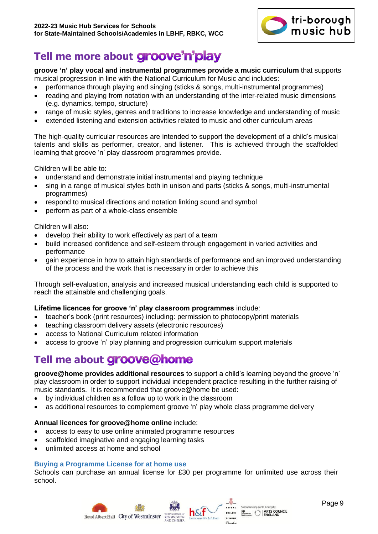

# <span id="page-8-0"></span>Tell me more about **groove'n'play**

# **groove 'n' play vocal and instrumental programmes provide a music curriculum** that supports

- musical progression in line with the National Curriculum for Music and includes:
- performance through playing and singing (sticks & songs, multi-instrumental programmes)
- reading and playing from notation with an understanding of the inter-related music dimensions (e.g. dynamics, tempo, structure)
- range of music styles, genres and traditions to increase knowledge and understanding of music
- extended listening and extension activities related to music and other curriculum areas

The high-quality curricular resources are intended to support the development of a child's musical talents and skills as performer, creator, and listener. This is achieved through the scaffolded learning that groove 'n' play classroom programmes provide.

Children will be able to:

- understand and demonstrate initial instrumental and playing technique
- sing in a range of musical styles both in unison and parts (sticks & songs, multi-instrumental programmes)
- respond to musical directions and notation linking sound and symbol
- perform as part of a whole-class ensemble

Children will also:

- develop their ability to work effectively as part of a team
- build increased confidence and self-esteem through engagement in varied activities and performance
- gain experience in how to attain high standards of performance and an improved understanding of the process and the work that is necessary in order to achieve this

Through self-evaluation, analysis and increased musical understanding each child is supported to reach the attainable and challenging goals.

#### **Lifetime licences for groove 'n' play classroom programmes** include:

- teacher's book (print resources) including: permission to photocopy/print materials
- teaching classroom delivery assets (electronic resources)
- access to National Curriculum related information
- access to groove 'n' play planning and progression curriculum support materials

# <span id="page-8-1"></span>**Tell me about**

**groove@home provides additional resources** to support a child's learning beyond the groove 'n' play classroom in order to support individual independent practice resulting in the further raising of music standards. It is recommended that groove@home be used:

- by individual children as a follow up to work in the classroom
- as additional resources to complement groove 'n' play whole class programme delivery

#### **Annual licences for groove@home online** include:

- access to easy to use online animated programme resources
- scaffolded imaginative and engaging learning tasks
- unlimited access at home and school

#### **Buying a Programme License for at home use**

Schools can purchase an annual license for £30 per programme for unlimited use across their school.

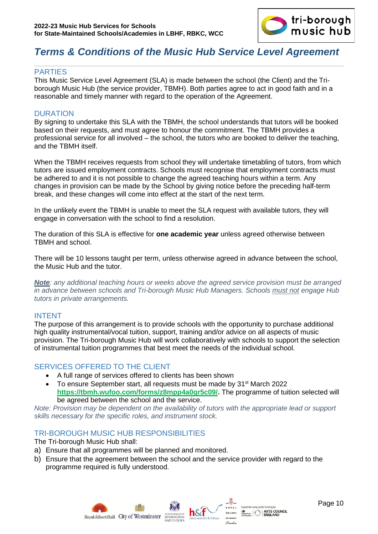

# <span id="page-9-0"></span>*Terms & Conditions of the Music Hub Service Level Agreement*

#### <span id="page-9-1"></span>PARTIES

This Music Service Level Agreement (SLA) is made between the school (the Client) and the Triborough Music Hub (the service provider, TBMH). Both parties agree to act in good faith and in a reasonable and timely manner with regard to the operation of the Agreement.

#### <span id="page-9-2"></span>**DURATION**

By signing to undertake this SLA with the TBMH, the school understands that tutors will be booked based on their requests, and must agree to honour the commitment. The TBMH provides a professional service for all involved – the school, the tutors who are booked to deliver the teaching, and the TBMH itself.

When the TBMH receives requests from school they will undertake timetabling of tutors, from which tutors are issued employment contracts. Schools must recognise that employment contracts must be adhered to and it is not possible to change the agreed teaching hours within a term. Any changes in provision can be made by the School by giving notice before the preceding half-term break, and these changes will come into effect at the start of the next term.

In the unlikely event the TBMH is unable to meet the SLA request with available tutors, they will engage in conversation with the school to find a resolution.

The duration of this SLA is effective for **one academic year** unless agreed otherwise between TBMH and school.

There will be 10 lessons taught per term, unless otherwise agreed in advance between the school, the Music Hub and the tutor.

*Note: any additional teaching hours or weeks above the agreed service provision must be arranged in advance between schools and Tri-borough Music Hub Managers. Schools must not engage Hub tutors in private arrangements.*

#### <span id="page-9-3"></span>INTENT

The purpose of this arrangement is to provide schools with the opportunity to purchase additional high quality instrumental/vocal tuition, support, training and/or advice on all aspects of music provision. The Tri-borough Music Hub will work collaboratively with schools to support the selection of instrumental tuition programmes that best meet the needs of the individual school.

#### <span id="page-9-4"></span>SERVICES OFFERED TO THE CLIENT

- A full range of services offered to clients has been shown
- To ensure September start, all requests must be made by  $31<sup>st</sup>$  March 2022 **[https://tbmh.wufoo.com/forms/z8mpp4a0gr5c09/.](https://tbmh.wufoo.com/forms/z8mpp4a0gr5c09/)** The programme of tuition selected will be agreed between the school and the service.

*Note: Provision may be dependent on the availability of tutors with the appropriate lead or support skills necessary for the specific roles, and instrument stock.* 

#### <span id="page-9-5"></span>TRI-BOROUGH MUSIC HUB RESPONSIBILITIES

The Tri-borough Music Hub shall:

- a) Ensure that all programmes will be planned and monitored.
- b) Ensure that the agreement between the school and the service provider with regard to the programme required is fully understood.

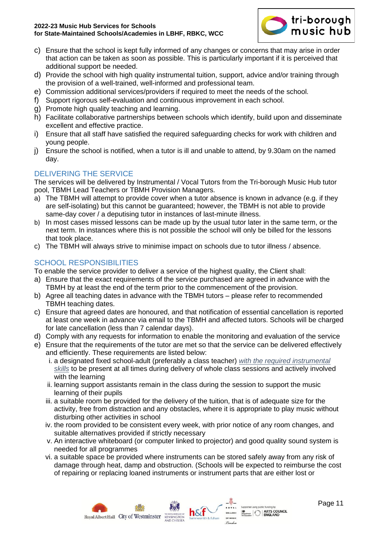

- c) Ensure that the school is kept fully informed of any changes or concerns that may arise in order that action can be taken as soon as possible. This is particularly important if it is perceived that additional support be needed.
- d) Provide the school with high quality instrumental tuition, support, advice and/or training through the provision of a well-trained, well-informed and professional team.
- e) Commission additional services/providers if required to meet the needs of the school.
- f) Support rigorous self-evaluation and continuous improvement in each school.
- g) Promote high quality teaching and learning.
- h) Facilitate collaborative partnerships between schools which identify, build upon and disseminate excellent and effective practice.
- i) Ensure that all staff have satisfied the required safeguarding checks for work with children and young people.
- j) Ensure the school is notified, when a tutor is ill and unable to attend, by 9.30am on the named day.

# <span id="page-10-0"></span>DELIVERING THE SERVICE

The services will be delivered by Instrumental / Vocal Tutors from the Tri-borough Music Hub tutor pool, TBMH Lead Teachers or TBMH Provision Managers.

- a) The TBMH will attempt to provide cover when a tutor absence is known in advance (e.g. if they are self-isolating) but this cannot be guaranteed; however, the TBMH is not able to provide same-day cover / a deputising tutor in instances of last-minute illness.
- b) In most cases missed lessons can be made up by the usual tutor later in the same term, or the next term. In instances where this is not possible the school will only be billed for the lessons that took place.
- c) The TBMH will always strive to minimise impact on schools due to tutor illness / absence.

# <span id="page-10-1"></span>SCHOOL RESPONSIBILITIES

To enable the service provider to deliver a service of the highest quality, the Client shall:

- a) Ensure that the exact requirements of the service purchased are agreed in advance with the TBMH by at least the end of the term prior to the commencement of the provision.
- b) Agree all teaching dates in advance with the TBMH tutors please refer to recommended TBMH teaching dates.
- c) Ensure that agreed dates are honoured, and that notification of essential cancellation is reported at least one week in advance via email to the TBMH and affected tutors. Schools will be charged for late cancellation (less than 7 calendar days).
- d) Comply with any requests for information to enable the monitoring and evaluation of the service
- e) Ensure that the requirements of the tutor are met so that the service can be delivered effectively and efficiently. These requirements are listed below:
	- i. a designated fixed school-adult (preferably a class teacher) *with the required instrumental skills* to be present at all times during delivery of whole class sessions and actively involved with the learning
	- ii. learning support assistants remain in the class during the session to support the music learning of their pupils
	- iii. a suitable room be provided for the delivery of the tuition, that is of adequate size for the activity, free from distraction and any obstacles, where it is appropriate to play music without disturbing other activities in school
	- iv. the room provided to be consistent every week, with prior notice of any room changes, and suitable alternatives provided if strictly necessary
	- v. An interactive whiteboard (or computer linked to projector) and good quality sound system is needed for all programmes
	- vi. a suitable space be provided where instruments can be stored safely away from any risk of damage through heat, damp and obstruction. (Schools will be expected to reimburse the cost of repairing or replacing loaned instruments or instrument parts that are either lost or

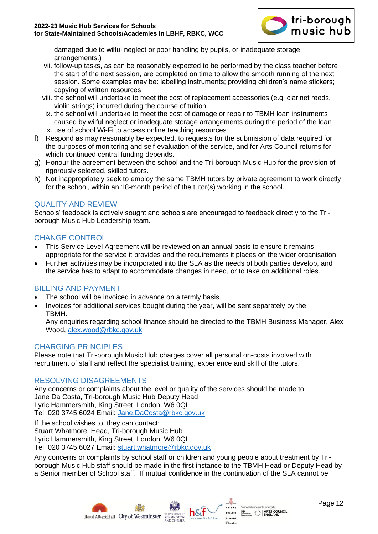

damaged due to wilful neglect or poor handling by pupils, or inadequate storage arrangements.)

- vii. follow-up tasks, as can be reasonably expected to be performed by the class teacher before the start of the next session, are completed on time to allow the smooth running of the next session. Some examples may be: labelling instruments; providing children's name stickers; copying of written resources
- viii. the school will undertake to meet the cost of replacement accessories (e.g. clarinet reeds, violin strings) incurred during the course of tuition
- ix. the school will undertake to meet the cost of damage or repair to TBMH loan instruments caused by wilful neglect or inadequate storage arrangements during the period of the loan x. use of school Wi-Fi to access online teaching resources
- f) Respond as may reasonably be expected, to requests for the submission of data required for the purposes of monitoring and self-evaluation of the service, and for Arts Council returns for which continued central funding depends.
- g) Honour the agreement between the school and the Tri-borough Music Hub for the provision of rigorously selected, skilled tutors.
- h) Not inappropriately seek to employ the same TBMH tutors by private agreement to work directly for the school, within an 18-month period of the tutor(s) working in the school.

# <span id="page-11-0"></span>QUALITY AND REVIEW

Schools' feedback is actively sought and schools are encouraged to feedback directly to the Triborough Music Hub Leadership team.

# <span id="page-11-1"></span>CHANGE CONTROL

- This Service Level Agreement will be reviewed on an annual basis to ensure it remains appropriate for the service it provides and the requirements it places on the wider organisation.
- Further activities may be incorporated into the SLA as the needs of both parties develop, and the service has to adapt to accommodate changes in need, or to take on additional roles.

# <span id="page-11-2"></span>BILLING AND PAYMENT

- The school will be invoiced in advance on a termly basis.
- Invoices for additional services bought during the year, will be sent separately by the TBMH.

Any enquiries regarding school finance should be directed to the TBMH Business Manager, Alex Wood, [alex.wood@rbkc.gov.uk](mailto:alex.wood@rbkc.gov.uk)

#### <span id="page-11-3"></span>CHARGING PRINCIPLES

Please note that Tri-borough Music Hub charges cover all personal on-costs involved with recruitment of staff and reflect the specialist training, experience and skill of the tutors.

#### <span id="page-11-4"></span>RESOLVING DISAGREEMENTS

Any concerns or complaints about the level or quality of the services should be made to: Jane Da Costa, Tri-borough Music Hub Deputy Head Lyric Hammersmith, King Street, London, W6 0QL Tel: 020 3745 6024 Email: [Jane.DaCosta@rbkc.gov.uk](mailto:Jane.DaCosta@rbkc.gov.uk)

If the school wishes to, they can contact: Stuart Whatmore, Head, Tri-borough Music Hub Lyric Hammersmith, King Street, London, W6 0QL Tel: 020 3745 6027 Email: [stuart.whatmore@rbkc.gov.uk](mailto:stuart.whatmore@rbkc.gov.uk)

Any concerns or complaints by school staff or children and young people about treatment by Triborough Music Hub staff should be made in the first instance to the TBMH Head or Deputy Head by a Senior member of School staff. If mutual confidence in the continuation of the SLA cannot be